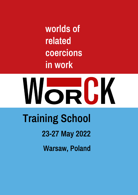worlds of related coercions in work

# WorCK **Training School**

# 23-27 May 2022

**Warsaw, Poland**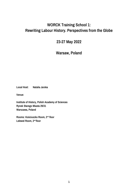## **WORCK Training School 1: Rewriting Labour History. Perspectives from the Globe**

### **23-27 May 2022**

**Warsaw, Poland**

**Local Host: Natalia Jarska**

**Venue:**

**Institute of History, Polish Academy of Sciences Rynek Starego Miasta 29/31 Warszawa, Poland**

**Rooms: Kościuszko Room, 2nd floor Lelewel Room, 2nd floor**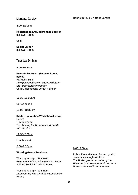#### **Monday, 23 May**

4:00-5:30pm

**Registration and Icebreaker Session** (Lelewel Room)

6pm

**Social Dinner** (Lelewel Room)

#### **Tuesday 24, May**

#### 9:00-10:30am

**Keynote Lecture 1 (Lelewel Room, hybrid)** Raffaella Sarti: *New perspectives on Labour History: the importance of gender* Chair/discussant: Johan Heinsen

#### 10:30-11:00am

Coffee break

11:00–12:30pm

#### **Digital Humanities Workshop** (Lelewel Room) Tim Geelhaar: *Text Mining for Humanists. A Gentle Introduction.*

12:30-2:00pm

Lunch break

2:00-4:00pm:

#### **Working Group Seminars**

Working Group 1 Seminar: *Grammars of coercion* (Lelewel Room) Juliane Schiel & Corinna Peres

Working Group 4 Seminar: *Intersecting Marginalities* (Kościuszko Room)

#### 6:00-8:00pm

Public Event (Lelewel Room, hybrid) Joanna Nalewajko-Kulikov: *The Underground Archive of the Warsaw Ghetto – Academic Work in Non-Academic Circumstances*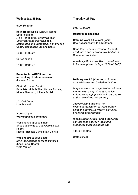#### **Wednesday, 25 May**

#### 9:00-10:30am

**Keynote lecture 2** (Lelewel Room) Seth Rockman: *Field Hands and Factory Hands: Understanding Coercion as a Distributed and Entangled Phenomenon* Chair/discussant: Juliane Schiel

10:30–11:00am

Coffee break

11:00–12:30pm

#### **Roundtable: WORCK and the unravelling of labour coercion** (Lelewel Room)

Chair: Christian De Vito Panelists: Viola Müller, Hanne Østhus, Nicola Pizzolato, Juliane Schiel

12:30–2:00pm Lunch break

#### 2:00-4:00pm: **Working Group Seminars**

Working Group 2 Seminar: *Sites and Fields of Coercion* (Lelewel Room) Nicola Pizzolato & Christian De Vito

Working Group 3 Seminar: *(Im)Mobilisations of the Workforce* (Kościuszko Room) Viola Müller

#### **Thursday, 26 May**

#### 9:00-11:00am

#### **Conference Sessions**

**Defining Work 1** (Lelewel Room) Chair/discussant: Jakub Štofaník

Oana Pop: *Labour extraction through productive and reproductive bodies in Romanian socialism*

Anastasija Smirnova: *What does it mean to be unemployed in Riga (1870s-1940)?*

**Defining Work 2 (**Kościuszko Room) Chair/Discussant: Christian De Vito

Maya Adereth: *"An organisation without money is an army without supplies" Voluntary benefit provision in US and UK at the turn of the 20th century*

Jacopo Ciammariconi: *The reconceptualisation of work in Italy since the 1970s. New work cultures, practices and conflicts* 

*Nicola Schalkowski: Forced labour as contact zone between legal and statistical expertise at the ILO*

#### 11:00-11:30am

Coffee break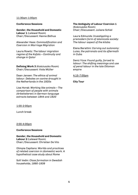#### 11:30am-1:00pm

#### **Conference Sessions**

**Gender, the Household and Domestic Labour 1** (Lelewel Room) Chair/Discussant: Hanne Østhus

Alexander Hass: *Commodification and Coercion in Marriage Migration*

Laura Rowitz: *The labour migration regime of the Kafala – Continuity and change in Qatar*

**Defining Work 3** (Kościuszko Room) Chair/Discussant: Viola Müller

Daan Jansen: *The ethics of animal labour. Debates on canine draught in the Netherlands in the 1920s*

Lisa Horak: *Working like animals – The comparison of people with animals (Arbeitstieren) in German-language extracts between 1844 and 1920*

#### 1:00-2:00pm

Lunch break

2:00-4:00pm

#### **Conference Sessions**

**Gender, the Household and Domestic Labour 2** (Lelewel Room) Chair/Discussant: Christian De Vito

Olimpia Capitano: *Worlds and practices of related coercion in (domestic) work. A hypothetical case study about Rome*

Sofi Vedin: *Class formation in Swedish households, 1890-1939*

#### **The Ambiguity of Labour Coercion 1**

(Kościuszko Room) Chair/Discussant: Juliane Schiel

Laura Edmunds: *Investigating a premodern form of islamicate society: The labour aspect of the kitaba*

Elena Barattini: *Carving out autonomy: Luisa, the patronato and its aftermath in Cuba*

Deniz Yüce: *Found guilty, forced to labour: The shifting meanings and use of penal labour in the late Ottoman empire*

#### 4:15-7:00pm

**City Tour**